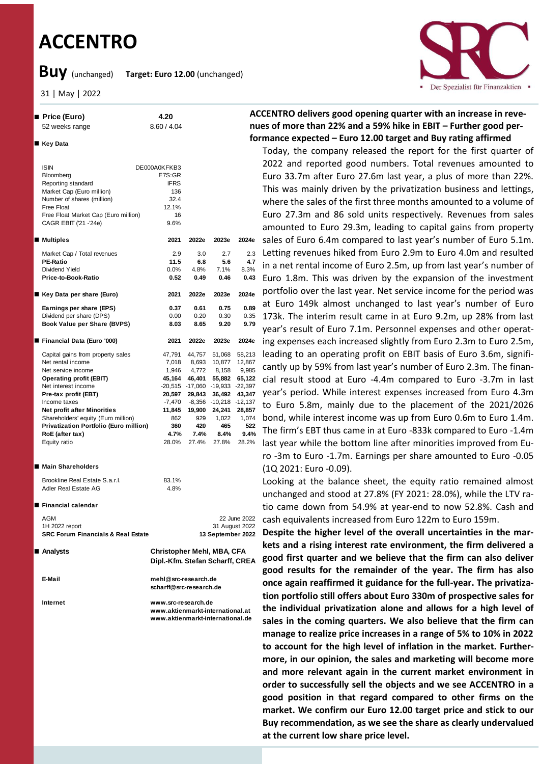# **ACCENTRO**

n **Price (Euro) 4.20** 52 weeks range 8.60 / 4.04

**Buy** (unchanged) **Target: Euro 12.00** (unchanged)

31 | May | 2022

n **Key Data**

ISIN Bloomberg Reporting standard



### **ACCENTRO delivers good opening quarter with an increase in revenues of more than 22% and a 59% hike in EBIT – Further good performance expected – Euro 12.00 target and Buy rating affirmed**

Today, the company released the report for the first quarter of 2022 and reported good numbers. Total revenues amounted to Euro 33.7m after Euro 27.6m last year, a plus of more than 22%. This was mainly driven by the privatization business and lettings, where the sales of the first three months amounted to a volume of Euro 27.3m and 86 sold units respectively. Revenues from sales amounted to Euro 29.3m, leading to capital gains from property sales of Euro 6.4m compared to last year's number of Euro 5.1m. Letting revenues hiked from Euro 2.9m to Euro 4.0m and resulted in a net rental income of Euro 2.5m, up from last year's number of Euro 1.8m. This was driven by the expansion of the investment portfolio over the last year. Net service income for the period was at Euro 149k almost unchanged to last year's number of Euro 173k. The interim result came in at Euro 9.2m, up 28% from last year's result of Euro 7.1m. Personnel expenses and other operating expenses each increased slightly from Euro 2.3m to Euro 2.5m, leading to an operating profit on EBIT basis of Euro 3.6m, significantly up by 59% from last year's number of Euro 2.3m. The financial result stood at Euro -4.4m compared to Euro -3.7m in last year's period. While interest expenses increased from Euro 4.3m to Euro 5.8m, mainly due to the placement of the 2021/2026 bond, while interest income was up from Euro 0.6m to Euro 1.4m. The firm's EBT thus came in at Euro -833k compared to Euro -1.4m last year while the bottom line after minorities improved from Euro -3m to Euro -1.7m. Earnings per share amounted to Euro -0.05 (1Q 2021: Euro -0.09).

Looking at the balance sheet, the equity ratio remained almost unchanged and stood at 27.8% (FY 2021: 28.0%), while the LTV ratio came down from 54.9% at year-end to now 52.8%. Cash and cash equivalents increased from Euro 122m to Euro 159m.

**Despite the higher level of the overall uncertainties in the markets and a rising interest rate environment, the firm delivered a good first quarter and we believe that the firm can also deliver good results for the remainder of the year. The firm has also once again reaffirmed it guidance for the full-year. The privatization portfolio still offers about Euro 330m of prospective sales for the individual privatization alone and allows for a high level of sales in the coming quarters. We also believe that the firm can manage to realize price increases in a range of 5% to 10% in 2022 to account for the high level of inflation in the market. Furthermore, in our opinion, the sales and marketing will become more and more relevant again in the current market environment in order to successfully sell the objects and we see ACCENTRO in a good position in that regard compared to other firms on the market. We confirm our Euro 12.00 target price and stick to our Buy recommendation, as we see the share as clearly undervalued at the current low share price level.**

| Market Cap (Euro million)              | 136       |          |                 |           |
|----------------------------------------|-----------|----------|-----------------|-----------|
| Number of shares (million)             | 32.4      |          |                 |           |
| Free Float                             | 12.1%     |          |                 |           |
| Free Float Market Cap (Euro million)   | 16        |          |                 |           |
| CAGR EBIT ('21 -'24e)                  | 9.6%      |          |                 |           |
| <b>Multiples</b>                       | 2021      | 2022e    | 2023e           | 2024e     |
| Market Cap / Total revenues            | 2.9       | 3.0      | 2.7             | 2.3       |
| <b>PE-Ratio</b>                        | 11.5      | 6.8      | 5.6             | 4.7       |
| Dividend Yield                         | 0.0%      | 4.8%     | 7.1%            | 8.3%      |
| Price-to-Book-Ratio                    | 0.52      | 0.49     | 0.46            | 0.43      |
| Key Data per share (Euro)              | 2021      | 2022e    | 2023e           | 2024e     |
| Earnings per share (EPS)               | 0.37      | 0.61     | 0.75            | 0.89      |
| Dividend per share (DPS)               | 0.00      | 0.20     | 0.30            | 0.35      |
| Book Value per Share (BVPS)            | 8.03      | 8.65     | 9.20            | 9.79      |
| Financial Data (Euro '000)             | 2021      | 2022e    | 2023e           | 2024e     |
| Capital gains from property sales      | 47,791    | 44,757   | 51,068          | 58,213    |
| Net rental income                      | 7,018     | 8,693    | 10,877          | 12,867    |
| Net service income                     | 1,946     | 4,772    | 8,158           | 9,985     |
| <b>Operating profit (EBIT)</b>         | 45,164    | 46,401   | 55.882          | 65,122    |
| Net interest income                    | $-20,515$ |          | -17,060 -19,933 | $-22,397$ |
| Pre-tax profit (EBT)                   | 20,597    | 29,843   | 36,492          | 43,347    |
| Income taxes                           | $-7,470$  | $-8,356$ | $-10,218$       | $-12,137$ |
| <b>Net profit after Minorities</b>     | 11,845    | 19,900   | 24,241          | 28,857    |
| Shareholders' equity (Euro million)    | 862       | 929      | 1,022           | 1,074     |
| Privatization Portfolio (Euro million) | 360       | 420      | 465             | 522       |
| RoE (after tax)                        | 4.7%      | 7.4%     | 8.4%            | 9.4%      |
| Equity ratio                           | 28.0%     | 27.4%    | 27.8%           | 28.2%     |
|                                        |           |          |                 |           |

DE000A0KFKB3 E7S:GR IFRS

## **■ Main Shareholders**

| Brookline Real Estate S.a.r.l. | 83.1% |
|--------------------------------|-------|
| Adler Real Estate AG           | 4.8%  |

#### **■ Financial calendar**

AGM 2022 22 June 2022 1H 2022 report 31 August 2022 **SRC Forum Financials & Real Estate 13 September 2022**

**Analysts** 

**E-Mail mehl@src-research.de scharff@src-research.de**

**Internet www.src-research.de www.aktienmarkt-international.at www.aktienmarkt-international.de**

 **Analysts Christopher Mehl, MBA, CFA Dipl.-Kfm. Stefan Scharff, CREA**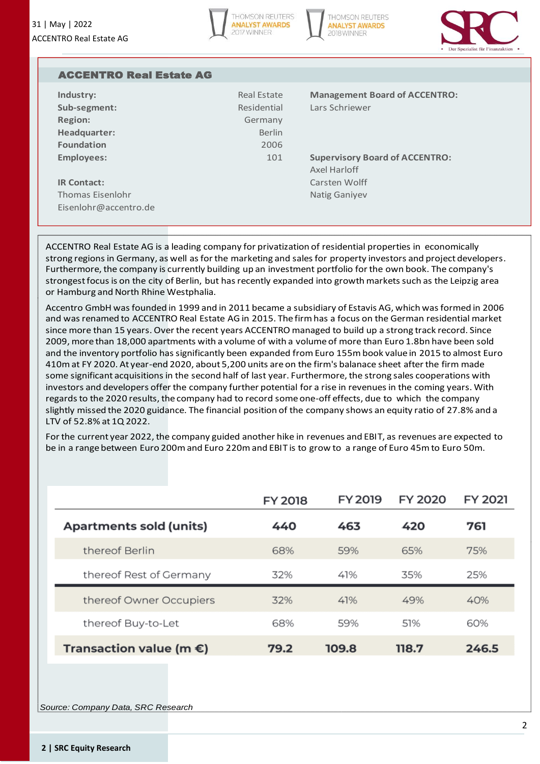



| <b>ACCENTRO Real Estate AG</b> |               |                                       |
|--------------------------------|---------------|---------------------------------------|
| Industry:                      | Real Estate   | <b>Management Board of ACCENTRO:</b>  |
| Sub-segment:                   | Residential   | Lars Schriewer                        |
| <b>Region:</b>                 | Germany       |                                       |
| Headquarter:                   | <b>Berlin</b> |                                       |
| <b>Foundation</b>              | 2006          |                                       |
| <b>Employees:</b>              | 101           | <b>Supervisory Board of ACCENTRO:</b> |
|                                |               | Axel Harloff                          |
| <b>IR Contact:</b>             |               | Carsten Wolff                         |
| Thomas Fisenlohr               |               | <b>Natig Ganiyev</b>                  |
| Eisenlohr@accentro.de          |               |                                       |

ACCENTRO Real Estate AG is a leading company for privatization of residential properties in economically strong regions in Germany, as well as for the marketing and sales for property investors and project developers. Furthermore, the company is currently building up an investment portfolio for the own book. The company's strongest focus is on the city of Berlin, but has recently expanded into growth markets such as the Leipzig area or Hamburg and North Rhine Westphalia.

Accentro GmbH was founded in 1999 and in 2011 became a subsidiary of Estavis AG, which was formed in 2006 and was renamed to ACCENTRO Real Estate AG in 2015. The firm has a focus on the German residential market since more than 15 years. Over the recent years ACCENTRO managed to build up a strong track record. Since 2009, more than 18,000 apartments with a volume of with a volume of more than Euro 1.8bn have been sold and the inventory portfolio has significantly been expanded from Euro 155m book value in 2015 to almost Euro 410m at FY 2020. At year-end 2020, about 5,200 units are on the firm's balanace sheet after the firm made some significant acquisitions in the second half of last year. Furthermore, the strong sales cooperations with investors and developers offer the company further potential for a rise in revenues in the coming years. With regards to the 2020 results, the company had to record some one-off effects, due to which the company slightly missed the 2020 guidance. The financial position of the company shows an equity ratio of 27.8% and a LTV of 52.8% at 1Q 2022.

For the current year 2022, the company guided another hike in revenues and EBIT, as revenues are expected to be in a range between Euro 200m and Euro 220m and EBIT is to grow to a range of Euro 45m to Euro 50m.

|                                   | <b>FY 2018</b> | FY 2019 | FY 2020 | FY 2021 |
|-----------------------------------|----------------|---------|---------|---------|
| <b>Apartments sold (units)</b>    | 440            | 463     | 420     | 761     |
| thereof Berlin                    | 68%            | 59%     | 65%     | 75%     |
| thereof Rest of Germany           | 32%            | 41%     | 35%     | 25%     |
| thereof Owner Occupiers           | 32%            | 41%     | 49%     | 40%     |
| thereof Buy-to-Let                | 68%            | 59%     | .51%    | 60%     |
| Transaction value (m $\epsilon$ ) | 79.2           | 109.8   | 118.7   | 246.5   |

*Source: Company Data, SRC Research*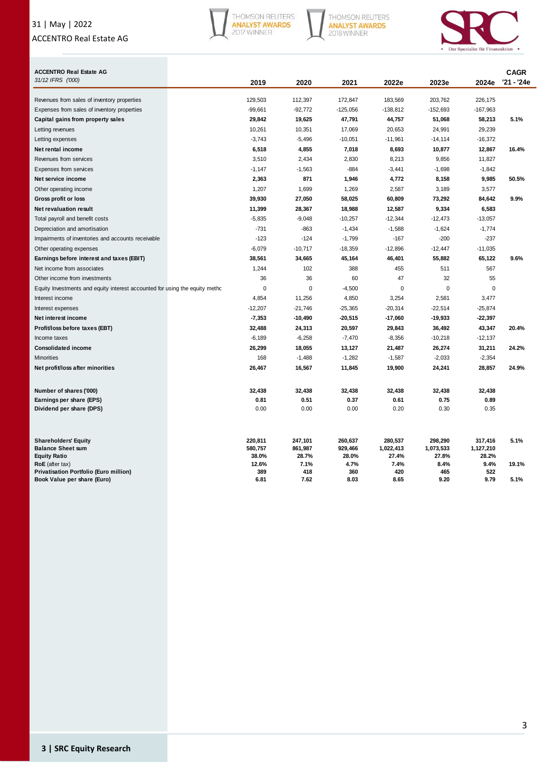## 31 | May | 2022 ACCENTRO Real Estate AG



THOMSON REUTERS<br>ANALYST AWARDS<br>2018 WINNER



| <b>ACCENTRO Real Estate AG</b>                                              |                    |                    |                    |                      |                      |                      | <b>CAGR</b> |
|-----------------------------------------------------------------------------|--------------------|--------------------|--------------------|----------------------|----------------------|----------------------|-------------|
| 31/12 IFRS ('000)                                                           | 2019               | 2020               | 2021               | 2022e                | 2023e                | 2024e                | '21 - '24e  |
| Revenues from sales of inventory properties                                 | 129,503            | 112,397            | 172,847            | 183,569              | 203,762              | 226,175              |             |
| Expenses from sales of inventory properties                                 | $-99,661$          | $-92,772$          | $-125,056$         | $-138,812$           | -152,693             | $-167,963$           |             |
| Capital gains from property sales                                           | 29,842             | 19,625             | 47,791             | 44,757               | 51,068               | 58,213               | 5.1%        |
| Letting revenues                                                            | 10,261             | 10,351             | 17,069             | 20,653               | 24,991               | 29,239               |             |
| Letting expenses                                                            | $-3,743$           | $-5,496$           | $-10,051$          | $-11,961$            | $-14, 114$           | $-16,372$            |             |
| Net rental income                                                           | 6,518              | 4,855              | 7,018              | 8,693                | 10,877               | 12,867               | 16.4%       |
| Revenues from services                                                      | 3,510              | 2,434              | 2,830              | 8,213                | 9,856                | 11,827               |             |
| <b>Expenses from services</b>                                               | $-1,147$           | $-1,563$           | $-884$             | $-3,441$             | $-1,698$             | $-1,842$             |             |
| Net service income                                                          | 2,363              | 871                | 1,946              | 4,772                | 8,158                | 9,985                | 50.5%       |
| Other operating income                                                      | 1,207              | 1,699              | 1,269              | 2,587                | 3,189                | 3,577                |             |
| Gross profit or loss                                                        | 39,930             | 27,050             | 58,025             | 60,809               | 73,292               | 84,642               | 9.9%        |
| Net revaluation result                                                      | 11,399             | 28,367             | 18,988             | 12,587               | 9,334                | 6,583                |             |
| Total payroll and benefit costs                                             | $-5,835$           | $-9,048$           | $-10,257$          | $-12,344$            | $-12,473$            | $-13,057$            |             |
| Depreciation and amortisation                                               | $-731$             | $-863$             | $-1,434$           | $-1,588$             | $-1,624$             | $-1,774$             |             |
| Impairments of inventories and accounts receivable                          | $-123$             | $-124$             | $-1,799$           | $-167$               | $-200$               | -237                 |             |
| Other operating expenses                                                    | $-6,079$           | $-10,717$          | $-18,359$          | $-12,896$            | $-12,447$            | $-11,035$            |             |
| Earnings before interest and taxes (EBIT)                                   | 38,561             | 34,665             | 45,164             | 46,401               | 55,882               | 65,122               | 9.6%        |
| Net income from associates                                                  | 1,244              | 102                | 388                | 455                  | 511                  | 567                  |             |
| Other income from investments                                               | 36                 | 36                 | 60                 | 47                   | 32                   | 55                   |             |
| Equity Investments and equity interest accounted for using the equity metho | 0                  | $\mathbf 0$        | $-4,500$           | $\mathbf 0$          | 0                    | 0                    |             |
| Interest income                                                             | 4,854              | 11,256             | 4,850              | 3,254                | 2,581                | 3,477                |             |
| Interest expenses                                                           | $-12,207$          | $-21,746$          | $-25,365$          | $-20,314$            | $-22,514$            | $-25,874$            |             |
| Net interest income                                                         | $-7,353$           | $-10,490$          | $-20,515$          | $-17,060$            | $-19,933$            | $-22,397$            |             |
| Profit/loss before taxes (EBT)                                              | 32,488             | 24,313             | 20,597             | 29,843               | 36,492               | 43,347               | 20.4%       |
| Income taxes                                                                | $-6,189$           | $-6,258$           | $-7,470$           | $-8,356$             | $-10,218$            | $-12,137$            |             |
| <b>Consolidated income</b>                                                  | 26,299             | 18,055             | 13,127             | 21,487               | 26,274               | 31,211               | 24.2%       |
| <b>Minorities</b>                                                           | 168                | $-1,488$           | $-1,282$           | $-1,587$             | $-2,033$             | $-2,354$             |             |
| Net profit/loss after minorities                                            | 26,467             | 16,567             | 11,845             | 19,900               | 24,241               | 28,857               | 24.9%       |
| Number of shares ('000)                                                     | 32,438             | 32,438             | 32,438             | 32,438               | 32,438               | 32,438               |             |
| Earnings per share (EPS)                                                    | 0.81               | 0.51               | 0.37               | 0.61                 | 0.75                 | 0.89                 |             |
| Dividend per share (DPS)                                                    | 0.00               | 0.00               | 0.00               | 0.20                 | 0.30                 | 0.35                 |             |
|                                                                             |                    |                    |                    |                      |                      |                      |             |
| <b>Shareholders' Equity</b><br><b>Balance Sheet sum</b>                     | 220,811<br>580,757 | 247,101<br>861,987 | 260,637<br>929,466 | 280,537<br>1,022,413 | 298,290<br>1,073,533 | 317,416<br>1,127,210 | 5.1%        |
| <b>Equity Ratio</b>                                                         | 38.0%              | 28.7%              | 28.0%              | 27.4%                | 27.8%                | 28.2%                |             |
| RoE (after tax)                                                             | 12.6%              | 7.1%               | 4.7%               | 7.4%                 | 8.4%                 | 9.4%                 | 19.1%       |
| Privatisation Portfolio (Euro million)                                      | 389                | 418                | 360                | 420                  | 465                  | 522                  |             |
| Book Value per share (Euro)                                                 | 6.81               | 7.62               | 8.03               | 8.65                 | 9.20                 | 9.79                 | 5.1%        |